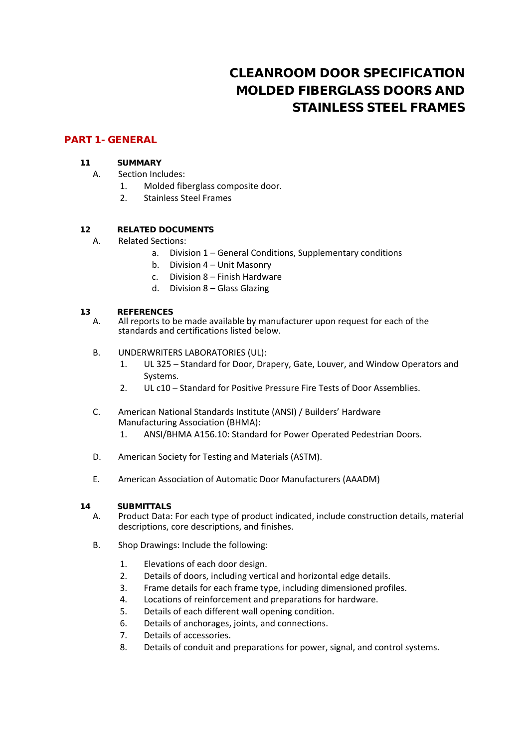# **CLEANROOM DOOR SPECIFICATION MOLDED FIBERGLASS DOORS AND STAINLESS STEEL FRAMES**

## **PART 1 - GENERAL**

## **1.1 SUMMARY**

# A. Section Includes:

- 1. Molded fiberglass composite door.
- 2. Stainless Steel Frames

## **1.2 RELATED DOCUMENTS**

- A. Related Sections:
	- a. Division 1 General Conditions, Supplementary conditions
	- b. Division 4 Unit Masonry
	- c. Division 8 Finish Hardware
	- d. Division 8 Glass Glazing

## **1.3 REFERENCES**

- A. All reports to be made available by manufacturer upon request for each of the standards and certifications listed below.
- B. UNDERWRITERS LABORATORIES (UL):
	- 1. UL 325 Standard for Door, Drapery, Gate, Louver, and Window Operators and Systems.
	- 2. UL c10 Standard for Positive Pressure Fire Tests of Door Assemblies.
- C. American National Standards Institute (ANSI) / Builders' Hardware Manufacturing Association (BHMA):
	- 1. ANSI/BHMA A156.10: Standard for Power Operated Pedestrian Doors.
- D. American Society for Testing and Materials (ASTM).
- E. American Association of Automatic Door Manufacturers (AAADM)
- **1.4 SUBMITTALS**
	- A. Product Data: For each type of product indicated, include construction details, material descriptions, core descriptions, and finishes.
	- B. Shop Drawings: Include the following:
		- 1. Elevations of each door design.
		- 2. Details of doors, including vertical and horizontal edge details.
		- 3. Frame details for each frame type, including dimensioned profiles.
		- 4. Locations of reinforcement and preparations for hardware.
		- 5. Details of each different wall opening condition.
		- 6. Details of anchorages, joints, and connections.
		- 7. Details of accessories.
		- 8. Details of conduit and preparations for power, signal, and control systems.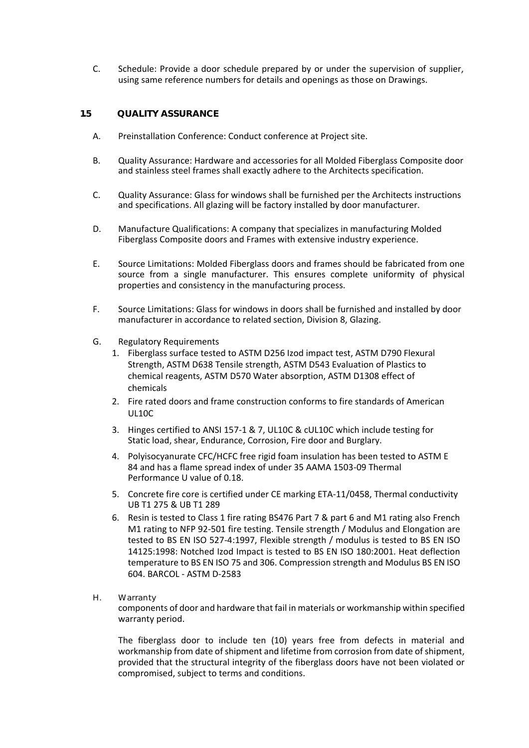C. Schedule: Provide a door schedule prepared by or under the supervision of supplier, using same reference numbers for details and openings as those on Drawings.

#### **1.5 QUALITY ASSURANCE**

- A. Preinstallation Conference: Conduct conference at Project site.
- B. Quality Assurance: Hardware and accessories for all Molded Fiberglass Composite door and stainless steel frames shall exactly adhere to the Architects specification.
- C. Quality Assurance: Glass for windows shall be furnished per the Architects instructions and specifications. All glazing will be factory installed by door manufacturer.
- D. Manufacture Qualifications: A company that specializes in manufacturing Molded Fiberglass Composite doors and Frames with extensive industry experience.
- E. Source Limitations: Molded Fiberglass doors and frames should be fabricated from one source from a single manufacturer. This ensures complete uniformity of physical properties and consistency in the manufacturing process.
- F. Source Limitations: Glass for windows in doors shall be furnished and installed by door manufacturer in accordance to related section, Division 8, Glazing.
- G. Regulatory Requirements
	- 1. Fiberglass surface tested to ASTM D256 Izod impact test, ASTM D790 Flexural Strength, ASTM D638 Tensile strength, ASTM D543 Evaluation of Plastics to chemical reagents, ASTM D570 Water absorption, ASTM D1308 effect of chemicals
	- 2. Fire rated doors and frame construction conforms to fire standards of American UL10C
	- 3. Hinges certified to ANSI 157-1 & 7, UL10C & cUL10C which include testing for Static load, shear, Endurance, Corrosion, Fire door and Burglary.
	- 4. Polyisocyanurate CFC/HCFC free rigid foam insulation has been tested to ASTM E 84 and has a flame spread index of under 35 AAMA 1503-09 Thermal Performance U value of 0.18.
	- 5. Concrete fire core is certified under CE marking ETA-11/0458, Thermal conductivity UB T1 275 & UB T1 289
	- 6. Resin is tested to Class 1 fire rating BS476 Part 7 & part 6 and M1 rating also French M1 rating to NFP 92-501 fire testing. Tensile strength / Modulus and Elongation are tested to BS EN ISO 527-4:1997, Flexible strength / modulus is tested to BS EN ISO 14125:1998: Notched Izod Impact is tested to BS EN ISO 180:2001. Heat deflection temperature to BS EN ISO 75 and 306. Compression strength and Modulus BS EN ISO 604. BARCOL - ASTM D-2583
- H. Warranty

components of door and hardware that fail in materials or workmanship within specified warranty period.

The fiberglass door to include ten (10) years free from defects in material and workmanship from date of shipment and lifetime from corrosion from date of shipment, provided that the structural integrity of the fiberglass doors have not been violated or compromised, subject to terms and conditions.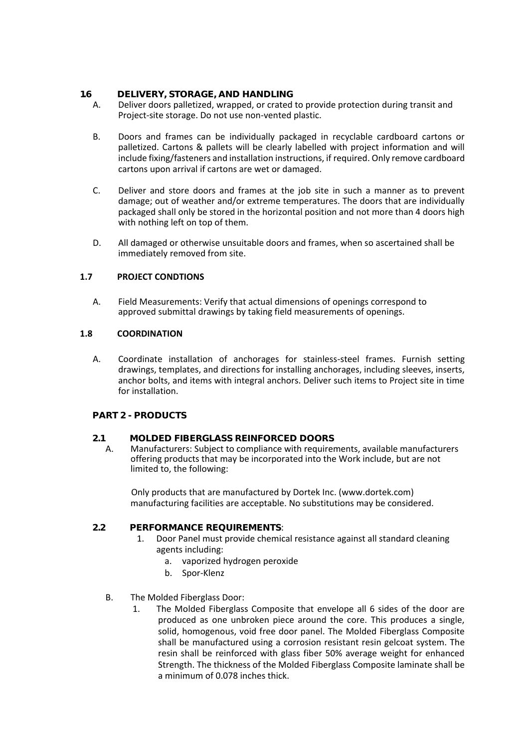## **1.6 DELIVERY, STORAGE, AND HANDLING**

- A. Deliver doors palletized, wrapped, or crated to provide protection during transit and Project-site storage. Do not use non-vented plastic.
- B. Doors and frames can be individually packaged in recyclable cardboard cartons or palletized. Cartons & pallets will be clearly labelled with project information and will include fixing/fasteners and installation instructions, if required. Only remove cardboard cartons upon arrival if cartons are wet or damaged.
- C. Deliver and store doors and frames at the job site in such a manner as to prevent damage; out of weather and/or extreme temperatures. The doors that are individually packaged shall only be stored in the horizontal position and not more than 4 doors high with nothing left on top of them.
- D. All damaged or otherwise unsuitable doors and frames, when so ascertained shall be immediately removed from site.

## **1.7 PROJECT CONDTIONS**

A. Field Measurements: Verify that actual dimensions of openings correspond to approved submittal drawings by taking field measurements of openings.

## **1.8 COORDINATION**

A. Coordinate installation of anchorages for stainless-steel frames. Furnish setting drawings, templates, and directions for installing anchorages, including sleeves, inserts, anchor bolts, and items with integral anchors. Deliver such items to Project site in time for installation.

## **PART 2 - PRODUCTS**

## **2.1 MOLDED FIBERGLASS REINFORCED DOORS**

A. Manufacturers: Subject to compliance with requirements, available manufacturers offering products that may be incorporated into the Work include, but are not limited to, the following:

Only products that are manufactured by Dortek Inc. (www.dortek.com) manufacturing facilities are acceptable. No substitutions may be considered.

## **2.2 PERFORMANCE REQUIREMENTS**:

- 1. Door Panel must provide chemical resistance against all standard cleaning agents including:
	- a. vaporized hydrogen peroxide
	- b. Spor-Klenz
- B. The Molded Fiberglass Door:
	- 1. The Molded Fiberglass Composite that envelope all 6 sides of the door are produced as one unbroken piece around the core. This produces a single, solid, homogenous, void free door panel. The Molded Fiberglass Composite shall be manufactured using a corrosion resistant resin gelcoat system. The resin shall be reinforced with glass fiber 50% average weight for enhanced Strength. The thickness of the Molded Fiberglass Composite laminate shall be a minimum of 0.078 inches thick.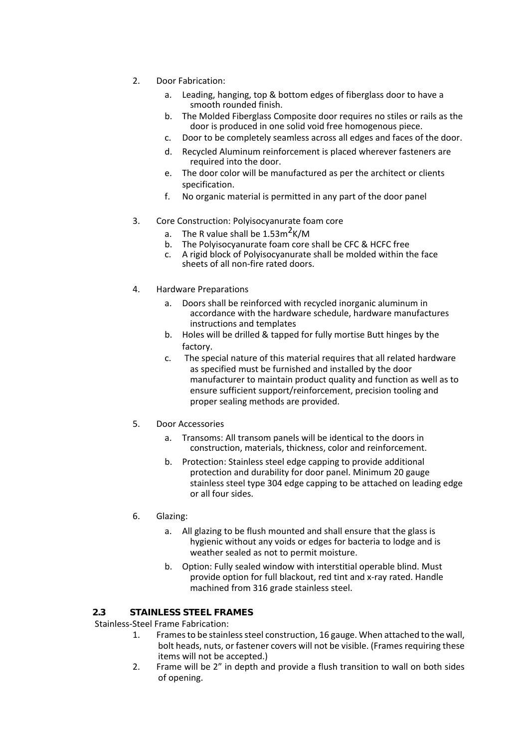- 2. Door Fabrication:
	- a. Leading, hanging, top & bottom edges of fiberglass door to have a smooth rounded finish.
	- b. The Molded Fiberglass Composite door requires no stiles or rails as the door is produced in one solid void free homogenous piece.
	- c. Door to be completely seamless across all edges and faces of the door.
	- d. Recycled Aluminum reinforcement is placed wherever fasteners are required into the door.
	- e. The door color will be manufactured as per the architect or clients specification.
	- f. No organic material is permitted in any part of the door panel
- 3. Core Construction: Polyisocyanurate foam core
	- a. The R value shall be  $1.53 \text{m}^2 \text{K/M}$
	- b. The Polyisocyanurate foam core shall be CFC & HCFC free
	- c. A rigid block of Polyisocyanurate shall be molded within the face sheets of all non-fire rated doors.
- 4. Hardware Preparations
	- a. Doors shall be reinforced with recycled inorganic aluminum in accordance with the hardware schedule, hardware manufactures instructions and templates
	- b. Holes will be drilled & tapped for fully mortise Butt hinges by the factory.
	- c. The special nature of this material requires that all related hardware as specified must be furnished and installed by the door manufacturer to maintain product quality and function as well as to ensure sufficient support/reinforcement, precision tooling and proper sealing methods are provided.
- 5. Door Accessories
	- a. Transoms: All transom panels will be identical to the doors in construction, materials, thickness, color and reinforcement.
	- b. Protection: Stainless steel edge capping to provide additional protection and durability for door panel. Minimum 20 gauge stainless steel type 304 edge capping to be attached on leading edge or all four sides.
- 6. Glazing:
	- a. All glazing to be flush mounted and shall ensure that the glass is hygienic without any voids or edges for bacteria to lodge and is weather sealed as not to permit moisture.
	- b. Option: Fully sealed window with interstitial operable blind. Must provide option for full blackout, red tint and x-ray rated. Handle machined from 316 grade stainless steel.

## **2.3 STAINLESS STEEL FRAMES**

Stainless-Steel Frame Fabrication:

- 1. Frames to be stainless steel construction, 16 gauge. When attached to the wall, bolt heads, nuts, or fastener covers will not be visible. (Frames requiring these items will not be accepted.)
- 2. Frame will be 2" in depth and provide a flush transition to wall on both sides of opening.